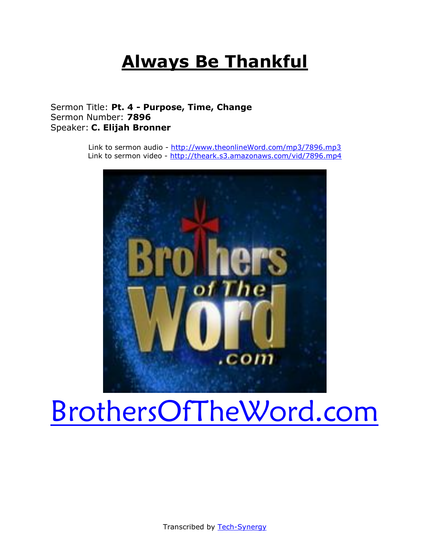## **Always Be Thankful**

#### Sermon Title: **Pt. 4 - Purpose, Time, Change** Sermon Number: **7896** Speaker: **C. Elijah Bronner**

Link to sermon audio - [http://www.theonlineWord.com/mp3/7896.mp3](http://www.theonlineword.com/mp3/7896.mp3) Link to sermon video - <http://theark.s3.amazonaws.com/vid/7896.mp4>



# [BrothersOfTheWord.com](http://www.brothersoftheword.com/)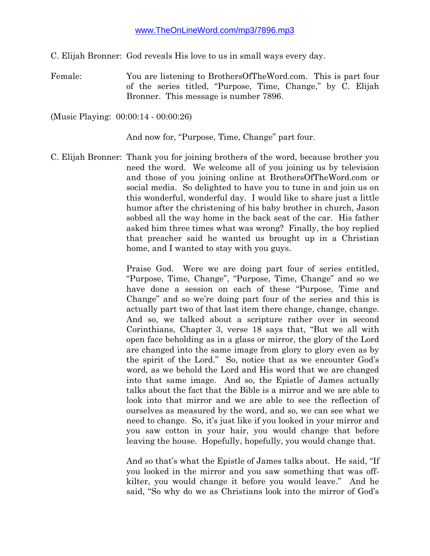C. Elijah Bronner: God reveals His love to us in small ways every day.

Female: You are listening to BrothersOfTheWord.com. This is part four of the series titled, "Purpose, Time, Change," by C. Elijah Bronner. This message is number 7896.

(Music Playing: 00:00:14 - 00:00:26)

And now for, "Purpose, Time, Change" part four.

C. Elijah Bronner: Thank you for joining brothers of the word, because brother you need the word. We welcome all of you joining us by television and those of you joining online at BrothersOfTheWord.com or social media. So delighted to have you to tune in and join us on this wonderful, wonderful day. I would like to share just a little humor after the christening of his baby brother in church, Jason sobbed all the way home in the back seat of the car. His father asked him three times what was wrong? Finally, the boy replied that preacher said he wanted us brought up in a Christian home, and I wanted to stay with you guys.

> Praise God. Were we are doing part four of series entitled, "Purpose, Time, Change", "Purpose, Time, Change" and so we have done a session on each of these "Purpose, Time and Change" and so we're doing part four of the series and this is actually part two of that last item there change, change, change. And so, we talked about a scripture rather over in second Corinthians, Chapter 3, verse 18 says that, "But we all with open face beholding as in a glass or mirror, the glory of the Lord are changed into the same image from glory to glory even as by the spirit of the Lord." So, notice that as we encounter God's word, as we behold the Lord and His word that we are changed into that same image. And so, the Epistle of James actually talks about the fact that the Bible is a mirror and we are able to look into that mirror and we are able to see the reflection of ourselves as measured by the word, and so, we can see what we need to change. So, it's just like if you looked in your mirror and you saw cotton in your hair, you would change that before leaving the house. Hopefully, hopefully, you would change that.

> And so that's what the Epistle of James talks about. He said, "If you looked in the mirror and you saw something that was offkilter, you would change it before you would leave." And he said, "So why do we as Christians look into the mirror of God's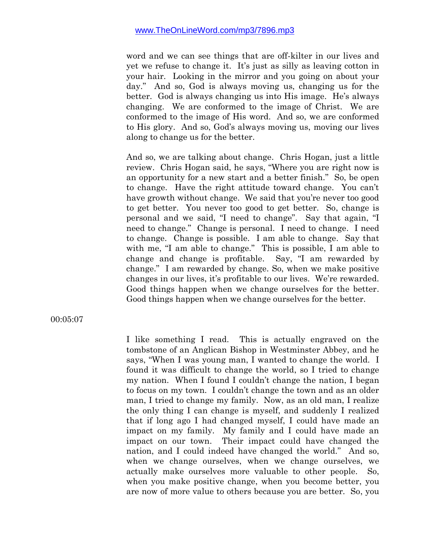word and we can see things that are off-kilter in our lives and yet we refuse to change it. It's just as silly as leaving cotton in your hair. Looking in the mirror and you going on about your day." And so, God is always moving us, changing us for the better. God is always changing us into His image. He's always changing. We are conformed to the image of Christ. We are conformed to the image of His word. And so, we are conformed to His glory. And so, God's always moving us, moving our lives along to change us for the better.

And so, we are talking about change. Chris Hogan, just a little review. Chris Hogan said, he says, "Where you are right now is an opportunity for a new start and a better finish." So, be open to change. Have the right attitude toward change. You can't have growth without change. We said that you're never too good to get better. You never too good to get better. So, change is personal and we said, "I need to change". Say that again, "I need to change." Change is personal. I need to change. I need to change. Change is possible. I am able to change. Say that with me, "I am able to change." This is possible, I am able to change and change is profitable. Say, "I am rewarded by change." I am rewarded by change. So, when we make positive changes in our lives, it's profitable to our lives. We're rewarded. Good things happen when we change ourselves for the better. Good things happen when we change ourselves for the better.

00:05:07

I like something I read. This is actually engraved on the tombstone of an Anglican Bishop in Westminster Abbey, and he says, "When I was young man, I wanted to change the world. I found it was difficult to change the world, so I tried to change my nation. When I found I couldn't change the nation, I began to focus on my town. I couldn't change the town and as an older man, I tried to change my family. Now, as an old man, I realize the only thing I can change is myself, and suddenly I realized that if long ago I had changed myself, I could have made an impact on my family. My family and I could have made an impact on our town. Their impact could have changed the nation, and I could indeed have changed the world." And so, when we change ourselves, when we change ourselves, we actually make ourselves more valuable to other people. So, when you make positive change, when you become better, you are now of more value to others because you are better. So, you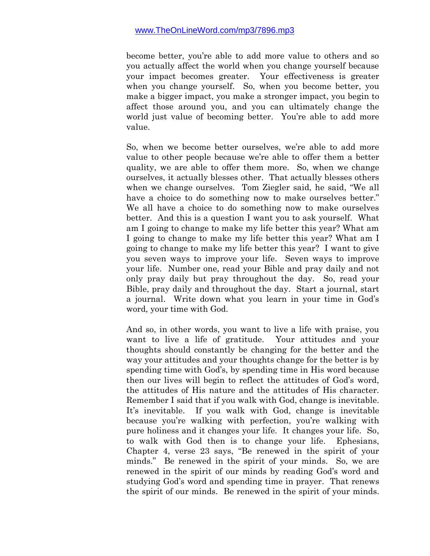become better, you're able to add more value to others and so you actually affect the world when you change yourself because your impact becomes greater. Your effectiveness is greater when you change yourself. So, when you become better, you make a bigger impact, you make a stronger impact, you begin to affect those around you, and you can ultimately change the world just value of becoming better. You're able to add more value.

So, when we become better ourselves, we're able to add more value to other people because we're able to offer them a better quality, we are able to offer them more. So, when we change ourselves, it actually blesses other. That actually blesses others when we change ourselves. Tom Ziegler said, he said, "We all have a choice to do something now to make ourselves better." We all have a choice to do something now to make ourselves better. And this is a question I want you to ask yourself. What am I going to change to make my life better this year? What am I going to change to make my life better this year? What am I going to change to make my life better this year? I want to give you seven ways to improve your life. Seven ways to improve your life. Number one, read your Bible and pray daily and not only pray daily but pray throughout the day. So, read your Bible, pray daily and throughout the day. Start a journal, start a journal. Write down what you learn in your time in God's word, your time with God.

And so, in other words, you want to live a life with praise, you want to live a life of gratitude. Your attitudes and your thoughts should constantly be changing for the better and the way your attitudes and your thoughts change for the better is by spending time with God's, by spending time in His word because then our lives will begin to reflect the attitudes of God's word, the attitudes of His nature and the attitudes of His character. Remember I said that if you walk with God, change is inevitable. It's inevitable. If you walk with God, change is inevitable because you're walking with perfection, you're walking with pure holiness and it changes your life. It changes your life. So, to walk with God then is to change your life. Ephesians, Chapter 4, verse 23 says, "Be renewed in the spirit of your minds." Be renewed in the spirit of your minds. So, we are renewed in the spirit of our minds by reading God's word and studying God's word and spending time in prayer. That renews the spirit of our minds. Be renewed in the spirit of your minds.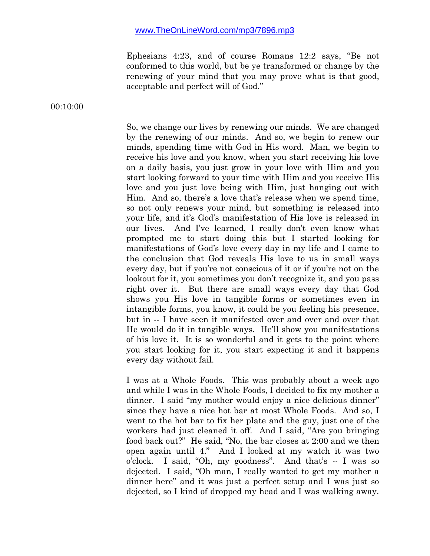Ephesians 4:23, and of course Romans 12:2 says, "Be not conformed to this world, but be ye transformed or change by the renewing of your mind that you may prove what is that good, acceptable and perfect will of God."

00:10:00

So, we change our lives by renewing our minds. We are changed by the renewing of our minds. And so, we begin to renew our minds, spending time with God in His word. Man, we begin to receive his love and you know, when you start receiving his love on a daily basis, you just grow in your love with Him and you start looking forward to your time with Him and you receive His love and you just love being with Him, just hanging out with Him. And so, there's a love that's release when we spend time, so not only renews your mind, but something is released into your life, and it's God's manifestation of His love is released in our lives. And I've learned, I really don't even know what prompted me to start doing this but I started looking for manifestations of God's love every day in my life and I came to the conclusion that God reveals His love to us in small ways every day, but if you're not conscious of it or if you're not on the lookout for it, you sometimes you don't recognize it, and you pass right over it. But there are small ways every day that God shows you His love in tangible forms or sometimes even in intangible forms, you know, it could be you feeling his presence, but in -- I have seen it manifested over and over and over that He would do it in tangible ways. He'll show you manifestations of his love it. It is so wonderful and it gets to the point where you start looking for it, you start expecting it and it happens every day without fail.

I was at a Whole Foods. This was probably about a week ago and while I was in the Whole Foods, I decided to fix my mother a dinner. I said "my mother would enjoy a nice delicious dinner" since they have a nice hot bar at most Whole Foods. And so, I went to the hot bar to fix her plate and the guy, just one of the workers had just cleaned it off. And I said, "Are you bringing food back out?" He said, "No, the bar closes at 2:00 and we then open again until 4." And I looked at my watch it was two o'clock. I said, "Oh, my goodness". And that's -- I was so dejected. I said, "Oh man, I really wanted to get my mother a dinner here" and it was just a perfect setup and I was just so dejected, so I kind of dropped my head and I was walking away.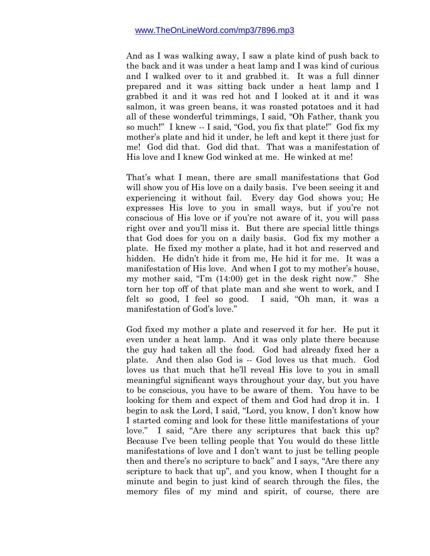And as I was walking away, I saw a plate kind of push back to the back and it was under a heat lamp and I was kind of curious and I walked over to it and grabbed it. It was a full dinner prepared and it was sitting back under a heat lamp and I grabbed it and it was red hot and I looked at it and it was salmon, it was green beans, it was roasted potatoes and it had all of these wonderful trimmings, I said, "Oh Father, thank you so much!" I knew -- I said, "God, you fix that plate!" God fix my mother's plate and hid it under, he left and kept it there just for me! God did that. God did that. That was a manifestation of His love and I knew God winked at me. He winked at me!

That's what I mean, there are small manifestations that God will show you of His love on a daily basis. I've been seeing it and experiencing it without fail. Every day God shows you; He expresses His love to you in small ways, but if you're not conscious of His love or if you're not aware of it, you will pass right over and you'll miss it. But there are special little things that God does for you on a daily basis. God fix my mother a plate. He fixed my mother a plate, had it hot and reserved and hidden. He didn't hide it from me, He hid it for me. It was a manifestation of His love. And when I got to my mother's house, my mother said, "I'm (14:00) get in the desk right now." She torn her top off of that plate man and she went to work, and I felt so good, I feel so good. I said, "Oh man, it was a manifestation of God's love."

God fixed my mother a plate and reserved it for her. He put it even under a heat lamp. And it was only plate there because the guy had taken all the food. God had already fixed her a plate. And then also God is -- God loves us that much. God loves us that much that he'll reveal His love to you in small meaningful significant ways throughout your day, but you have to be conscious, you have to be aware of them. You have to be looking for them and expect of them and God had drop it in. I begin to ask the Lord, I said, "Lord, you know, I don't know how I started coming and look for these little manifestations of your love." I said, "Are there any scriptures that back this up? Because I've been telling people that You would do these little manifestations of love and I don't want to just be telling people then and there's no scripture to back" and I says, "Are there any scripture to back that up", and you know, when I thought for a minute and begin to just kind of search through the files, the memory files of my mind and spirit, of course, there are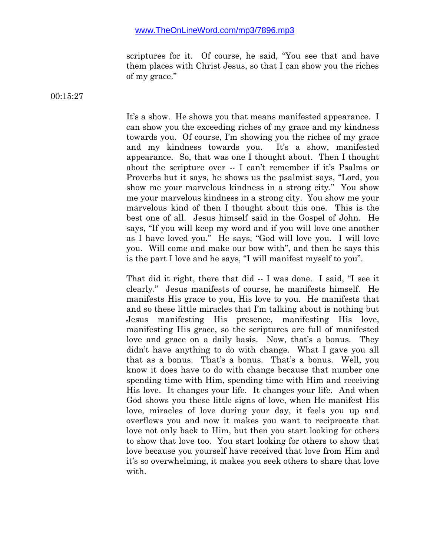scriptures for it. Of course, he said, "You see that and have them places with Christ Jesus, so that I can show you the riches of my grace."

00:15:27

It's a show. He shows you that means manifested appearance. I can show you the exceeding riches of my grace and my kindness towards you. Of course, I'm showing you the riches of my grace and my kindness towards you. It's a show, manifested appearance. So, that was one I thought about. Then I thought about the scripture over -- I can't remember if it's Psalms or Proverbs but it says, he shows us the psalmist says, "Lord, you show me your marvelous kindness in a strong city." You show me your marvelous kindness in a strong city. You show me your marvelous kind of then I thought about this one. This is the best one of all. Jesus himself said in the Gospel of John. He says, "If you will keep my word and if you will love one another as I have loved you." He says, "God will love you. I will love you. Will come and make our bow with", and then he says this is the part I love and he says, "I will manifest myself to you".

That did it right, there that did -- I was done. I said, "I see it clearly." Jesus manifests of course, he manifests himself. He manifests His grace to you, His love to you. He manifests that and so these little miracles that I'm talking about is nothing but Jesus manifesting His presence, manifesting His love, manifesting His grace, so the scriptures are full of manifested love and grace on a daily basis. Now, that's a bonus. They didn't have anything to do with change. What I gave you all that as a bonus. That's a bonus. That's a bonus. Well, you know it does have to do with change because that number one spending time with Him, spending time with Him and receiving His love. It changes your life. It changes your life. And when God shows you these little signs of love, when He manifest His love, miracles of love during your day, it feels you up and overflows you and now it makes you want to reciprocate that love not only back to Him, but then you start looking for others to show that love too. You start looking for others to show that love because you yourself have received that love from Him and it's so overwhelming, it makes you seek others to share that love with.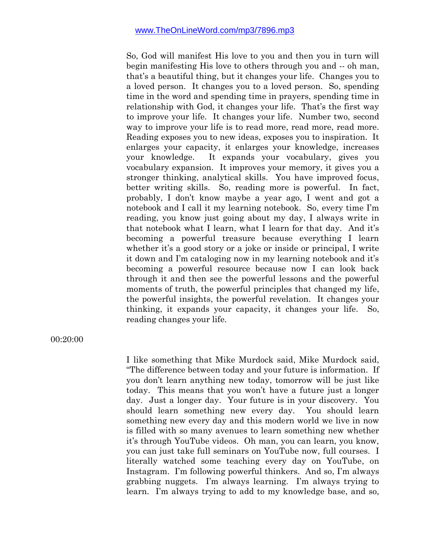So, God will manifest His love to you and then you in turn will begin manifesting His love to others through you and -- oh man, that's a beautiful thing, but it changes your life. Changes you to a loved person. It changes you to a loved person. So, spending time in the word and spending time in prayers, spending time in relationship with God, it changes your life. That's the first way to improve your life. It changes your life. Number two, second way to improve your life is to read more, read more, read more. Reading exposes you to new ideas, exposes you to inspiration. It enlarges your capacity, it enlarges your knowledge, increases your knowledge. It expands your vocabulary, gives you vocabulary expansion. It improves your memory, it gives you a stronger thinking, analytical skills. You have improved focus, better writing skills. So, reading more is powerful. In fact, probably, I don't know maybe a year ago, I went and got a notebook and I call it my learning notebook. So, every time I'm reading, you know just going about my day, I always write in that notebook what I learn, what I learn for that day. And it's becoming a powerful treasure because everything I learn whether it's a good story or a joke or inside or principal, I write it down and I'm cataloging now in my learning notebook and it's becoming a powerful resource because now I can look back through it and then see the powerful lessons and the powerful moments of truth, the powerful principles that changed my life, the powerful insights, the powerful revelation. It changes your thinking, it expands your capacity, it changes your life. So, reading changes your life.

00:20:00

I like something that Mike Murdock said, Mike Murdock said, "The difference between today and your future is information. If you don't learn anything new today, tomorrow will be just like today. This means that you won't have a future just a longer day. Just a longer day. Your future is in your discovery. You should learn something new every day. You should learn something new every day and this modern world we live in now is filled with so many avenues to learn something new whether it's through YouTube videos. Oh man, you can learn, you know, you can just take full seminars on YouTube now, full courses. I literally watched some teaching every day on YouTube, on Instagram. I'm following powerful thinkers. And so, I'm always grabbing nuggets. I'm always learning. I'm always trying to learn. I'm always trying to add to my knowledge base, and so,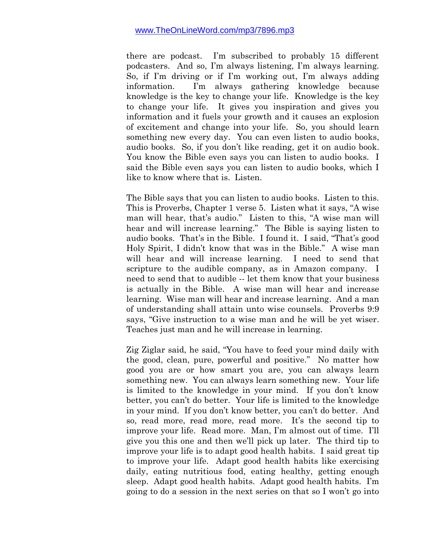there are podcast. I'm subscribed to probably 15 different podcasters. And so, I'm always listening, I'm always learning. So, if I'm driving or if I'm working out, I'm always adding information. I'm always gathering knowledge because knowledge is the key to change your life. Knowledge is the key to change your life. It gives you inspiration and gives you information and it fuels your growth and it causes an explosion of excitement and change into your life. So, you should learn something new every day. You can even listen to audio books, audio books. So, if you don't like reading, get it on audio book. You know the Bible even says you can listen to audio books. I said the Bible even says you can listen to audio books, which I like to know where that is. Listen.

The Bible says that you can listen to audio books. Listen to this. This is Proverbs, Chapter 1 verse 5. Listen what it says, "A wise man will hear, that's audio." Listen to this, "A wise man will hear and will increase learning." The Bible is saying listen to audio books. That's in the Bible. I found it. I said, "That's good Holy Spirit, I didn't know that was in the Bible." A wise man will hear and will increase learning. I need to send that scripture to the audible company, as in Amazon company. I need to send that to audible -- let them know that your business is actually in the Bible. A wise man will hear and increase learning. Wise man will hear and increase learning. And a man of understanding shall attain unto wise counsels. Proverbs 9:9 says, "Give instruction to a wise man and he will be yet wiser. Teaches just man and he will increase in learning.

Zig Ziglar said, he said, "You have to feed your mind daily with the good, clean, pure, powerful and positive." No matter how good you are or how smart you are, you can always learn something new. You can always learn something new. Your life is limited to the knowledge in your mind. If you don't know better, you can't do better. Your life is limited to the knowledge in your mind. If you don't know better, you can't do better. And so, read more, read more, read more. It's the second tip to improve your life. Read more. Man, I'm almost out of time. I'll give you this one and then we'll pick up later. The third tip to improve your life is to adapt good health habits. I said great tip to improve your life. Adapt good health habits like exercising daily, eating nutritious food, eating healthy, getting enough sleep. Adapt good health habits. Adapt good health habits. I'm going to do a session in the next series on that so I won't go into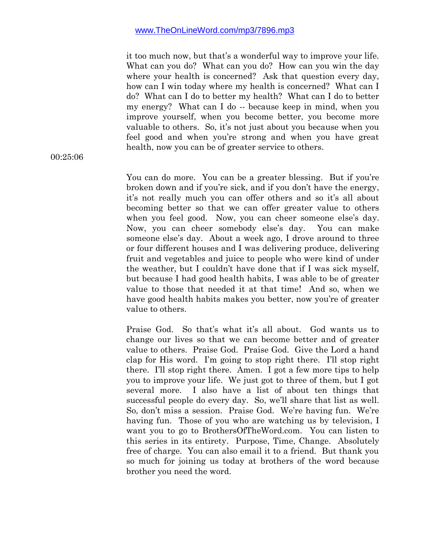it too much now, but that's a wonderful way to improve your life. What can you do? What can you do? How can you win the day where your health is concerned? Ask that question every day, how can I win today where my health is concerned? What can I do? What can I do to better my health? What can I do to better my energy? What can I do -- because keep in mind, when you improve yourself, when you become better, you become more valuable to others. So, it's not just about you because when you feel good and when you're strong and when you have great health, now you can be of greater service to others.

You can do more. You can be a greater blessing. But if you're broken down and if you're sick, and if you don't have the energy, it's not really much you can offer others and so it's all about becoming better so that we can offer greater value to others when you feel good. Now, you can cheer someone else's day. Now, you can cheer somebody else's day. You can make someone else's day. About a week ago, I drove around to three or four different houses and I was delivering produce, delivering fruit and vegetables and juice to people who were kind of under the weather, but I couldn't have done that if I was sick myself, but because I had good health habits, I was able to be of greater value to those that needed it at that time! And so, when we have good health habits makes you better, now you're of greater value to others.

Praise God. So that's what it's all about. God wants us to change our lives so that we can become better and of greater value to others. Praise God. Praise God. Give the Lord a hand clap for His word. I'm going to stop right there. I'll stop right there. I'll stop right there. Amen. I got a few more tips to help you to improve your life. We just got to three of them, but I got several more. I also have a list of about ten things that successful people do every day. So, we'll share that list as well. So, don't miss a session. Praise God. We're having fun. We're having fun. Those of you who are watching us by television, I want you to go to BrothersOfTheWord.com. You can listen to this series in its entirety. Purpose, Time, Change. Absolutely free of charge. You can also email it to a friend. But thank you so much for joining us today at brothers of the word because brother you need the word.